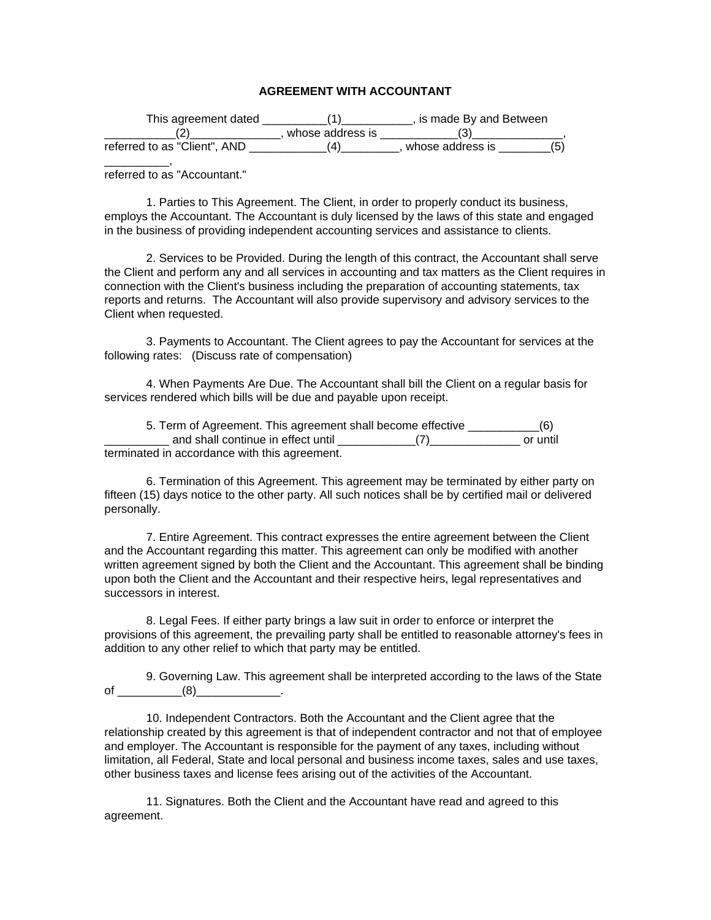## **AGREEMENT WITH ACCOUNTANT**

| This agreement dated         |                  | , is made By and Between |    |
|------------------------------|------------------|--------------------------|----|
|                              | whose address is |                          |    |
| referred to as "Client", AND |                  | whose address is         | 6) |

referred to as "Accountant."

\_\_\_\_\_\_\_\_\_\_,

1. Parties to This Agreement. The Client, in order to properly conduct its business, employs the Accountant. The Accountant is duly licensed by the laws of this state and engaged in the business of providing independent accounting services and assistance to clients.

2. Services to be Provided. During the length of this contract, the Accountant shall serve the Client and perform any and all services in accounting and tax matters as the Client requires in connection with the Client's business including the preparation of accounting statements, tax reports and returns. The Accountant will also provide supervisory and advisory services to the Client when requested.

3. Payments to Accountant. The Client agrees to pay the Accountant for services at the following rates: (Discuss rate of compensation)

4. When Payments Are Due. The Accountant shall bill the Client on a regular basis for services rendered which bills will be due and payable upon receipt.

| 5. Term of Agreement. This agreement shall become effective | (6)      |
|-------------------------------------------------------------|----------|
| and shall continue in effect until                          | or until |
| terminated in accordance with this agreement.               |          |

6. Termination of this Agreement. This agreement may be terminated by either party on fifteen (15) days notice to the other party. All such notices shall be by certified mail or delivered personally.

7. Entire Agreement. This contract expresses the entire agreement between the Client and the Accountant regarding this matter. This agreement can only be modified with another written agreement signed by both the Client and the Accountant. This agreement shall be binding upon both the Client and the Accountant and their respective heirs, legal representatives and successors in interest.

8. Legal Fees. If either party brings a law suit in order to enforce or interpret the provisions of this agreement, the prevailing party shall be entitled to reasonable attorney's fees in addition to any other relief to which that party may be entitled.

9. Governing Law. This agreement shall be interpreted according to the laws of the State of \_\_\_\_\_\_\_\_\_\_\_(8)\_\_\_\_\_\_\_\_\_\_\_\_\_.

10. Independent Contractors. Both the Accountant and the Client agree that the relationship created by this agreement is that of independent contractor and not that of employee and employer. The Accountant is responsible for the payment of any taxes, including without limitation, all Federal, State and local personal and business income taxes, sales and use taxes, other business taxes and license fees arising out of the activities of the Accountant.

11. Signatures. Both the Client and the Accountant have read and agreed to this agreement.